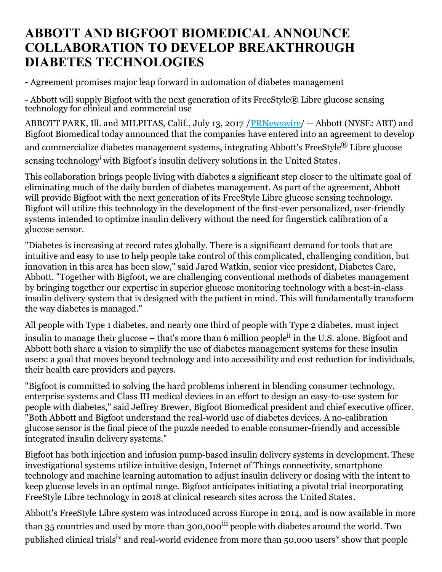## **ABBOTT AND BIGFOOT BIOMEDICAL ANNOUNCE COLLABORATION TO DEVELOP BREAKTHROUGH DIABETES TECHNOLOGIES**

- Agreement promises major leap forward in automation of diabetes management

- Abbott will supply Bigfoot with the next generation of its FreeStyle® Libre glucose sensing technology for clinical and commercial use

ABBOTT PARK, Ill. and MILPITAS, Calif., July 13, 2017 / [PRNewswire](http://www.prnewswire.com/)/ -- Abbott (NYSE: ABT) and Bigfoot Biomedical today announced that the companies have entered into an agreement to develop and commercialize diabetes management systems, integrating Abbott's FreeStyle® Libre glucose sensing technology<sup>i</sup> with Bigfoot's insulin delivery solutions in the United States.

This collaboration brings people living with diabetes a significant step closer to the ultimate goal of eliminating much of the daily burden of diabetes management. As part of the agreement, Abbott will provide Bigfoot with the next generation of its FreeStyle Libre glucose sensing technology. Bigfoot will utilize this technology in the development of the first-ever personalized, user-friendly systems intended to optimize insulin delivery without the need for fingerstick calibration of a glucose sensor.

"Diabetes is increasing at record rates globally. There is a significant demand for tools that are intuitive and easy to use to help people take control of this complicated, challenging condition, but innovation in this area has been slow," said Jared Watkin, senior vice president, Diabetes Care, Abbott. "Together with Bigfoot, we are challenging conventional methods of diabetes management by bringing together our expertise in superior glucose monitoring technology with a best-in-class insulin delivery system that is designed with the patient in mind. This will fundamentally transform the way diabetes is managed."

All people with Type 1 diabetes, and nearly one third of people with Type 2 diabetes, must inject

insulin to manage their glucose – that's more than 6 million people<sup>ii</sup> in the U.S. alone. Bigfoot and Abbott both share a vision to simplify the use of diabetes management systems for these insulin users: a goal that moves beyond technology and into accessibility and cost reduction for individuals, their health care providers and payers.

"Bigfoot is committed to solving the hard problems inherent in blending consumer technology, enterprise systems and Class III medical devices in an effort to design an easy-to-use system for people with diabetes," said Jeffrey Brewer, Bigfoot Biomedical president and chief executive officer. "Both Abbott and Bigfoot understand the real-world use of diabetes devices. A no-calibration glucose sensor is the final piece of the puzzle needed to enable consumer-friendly and accessible integrated insulin delivery systems."

Bigfoot has both injection and infusion pump-based insulin delivery systems in development. These investigational systems utilize intuitive design, Internet of Things connectivity, smartphone technology and machine learning automation to adjust insulin delivery or dosing with the intent to keep glucose levels in an optimal range. Bigfoot anticipates initiating a pivotal trial incorporating FreeStyle Libre technology in 2018 at clinical research sites across the United States.

Abbott's FreeStyle Libre system was introduced across Europe in 2014, and is now available in more than 35 countries and used by more than 300,000<sup>iii</sup> people with diabetes around the world. Two published clinical trials<sup>iv</sup> and real-world evidence from more than 50,000 users<sup>v</sup> show that people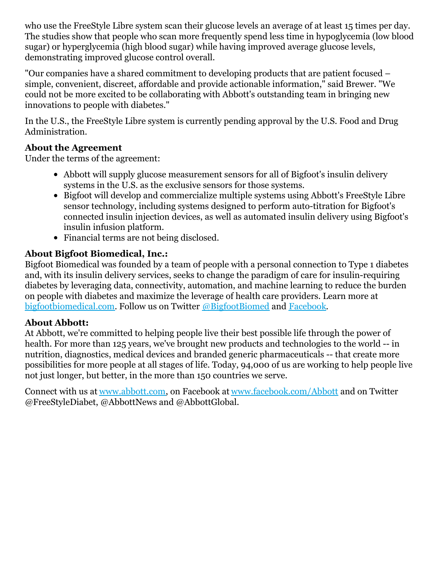who use the FreeStyle Libre system scan their glucose levels an average of at least 15 times per day. The studies show that people who scan more frequently spend less time in hypoglycemia (low blood sugar) or hyperglycemia (high blood sugar) while having improved average glucose levels, demonstrating improved glucose control overall.

"Our companies have a shared commitment to developing products that are patient focused – simple, convenient, discreet, affordable and provide actionable information," said Brewer. "We could not be more excited to be collaborating with Abbott's outstanding team in bringing new innovations to people with diabetes."

In the U.S., the FreeStyle Libre system is currently pending approval by the U.S. Food and Drug Administration.

## **About the Agreement**

Under the terms of the agreement:

- Abbott will supply glucose measurement sensors for all of Bigfoot's insulin delivery systems in the U.S. as the exclusive sensors for those systems.
- Bigfoot will develop and commercialize multiple systems using Abbott's FreeStyle Libre sensor technology, including systems designed to perform auto-titration for Bigfoot's connected insulin injection devices, as well as automated insulin delivery using Bigfoot's insulin infusion platform.
- Financial terms are not being disclosed.

## **About Bigfoot Biomedical, Inc.:**

Bigfoot Biomedical was founded by a team of people with a personal connection to Type 1 diabetes and, with its insulin delivery services, seeks to change the paradigm of care for insulin-requiring diabetes by leveraging data, connectivity, automation, and machine learning to reduce the burden on people with diabetes and maximize the leverage of health care providers. Learn more at [bigfootbiomedical.com](https://www.bigfootbiomedical.com/). Follow us on Twitter [@BigfootBiomed](https://twitter.com/bigfootbiomed) and [Facebook](https://www.facebook.com/bigfootbiomed/).

## **About Abbott:**

At Abbott, we're committed to helping people live their best possible life through the power of health. For more than 125 years, we've brought new products and technologies to the world -- in nutrition, diagnostics, medical devices and branded generic pharmaceuticals -- that create more possibilities for more people at all stages of life. Today, 94,000 of us are working to help people live not just longer, but better, in the more than 150 countries we serve.

Connect with us at [www.abbott.com](http://www.abbott.com/), on Facebook at [www.facebook.com/Abbott](http://www.facebook.com/Abbott) and on Twitter @FreeStyleDiabet, @AbbottNews and @AbbottGlobal.